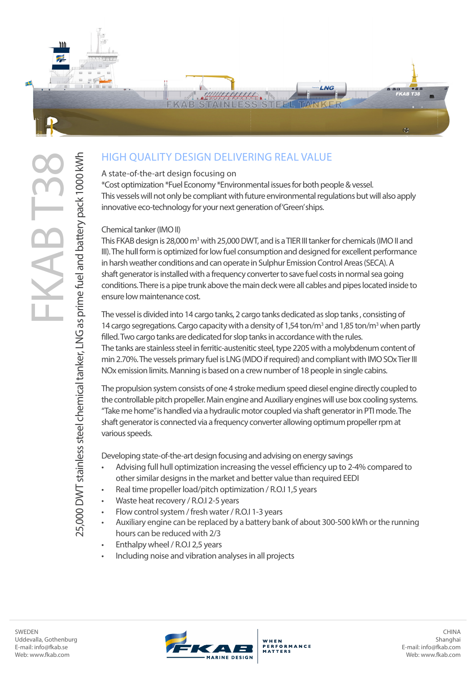

## HIGH QUALITY DESIGN DELIVERING REAL VALUE

## A state-of-the-art design focusing on

\*Cost optimization \*Fuel Economy \*Environmental issues for both people & vessel. This vessels will not only be compliant with future environmental regulations but will also apply innovative eco-technology for your next generation of 'Green' ships.

## Chemical tanker (IMO II)

This FKAB design is 28,000 m<sup>3</sup> with 25,000 DWT, and is a TIER III tanker for chemicals (IMO II and III). The hull form is optimized for low fuel consumption and designed for excellent performance in harsh weather conditions and can operate in Sulphur Emission Control Areas (SECA). A shaft generator is installed with a frequency converter to save fuel costs in normal sea going conditions. There is a pipe trunk above the main deck were all cables and pipes located inside to ensure low maintenance cost.

The vessel is divided into 14 cargo tanks, 2 cargo tanks dedicated as slop tanks , consisting of 14 cargo segregations. Cargo capacity with a density of 1,54 ton/ $m<sup>3</sup>$  and 1,85 ton/ $m<sup>3</sup>$  when partly filled. Two cargo tanks are dedicated for slop tanks in accordance with the rules. The tanks are stainless steel in ferritic-austenitic steel, type 2205 with a molybdenum content of min 2.70%. The vessels primary fuel is LNG (MDO if required) and compliant with IMO SOx Tier III NOx emission limits. Manning is based on a crew number of 18 people in single cabins.

The propulsion system consists of one 4 stroke medium speed diesel engine directly coupled to the controllable pitch propeller. Main engine and Auxiliary engines will use box cooling systems. "Take me home" is handled via a hydraulic motor coupled via shaft generator in PTI mode. The shaft generator is connected via a frequency converter allowing optimum propeller rpm at various speeds.

Developing state-of-the-art design focusing and advising on energy savings

- Advising full hull optimization increasing the vessel efficiency up to 2-4% compared to other similar designs in the market and better value than required EEDI
- Real time propeller load/pitch optimization / R.O.I 1,5 years
- Waste heat recovery / R.O.I 2-5 years
- Flow control system / fresh water / R.O.I 1-3 years
- Auxiliary engine can be replaced by a battery bank of about 300-500 kWh or the running hours can be reduced with 2/3
- Enthalpy wheel / R.O.I 2,5 years
- Including noise and vibration analyses in all projects

25,000 DWT stainless steel chemical tanker, LNG as prime fuel and battery pack 1000 kWh

25,000 DWT stainless steel chemical tanker, LNG as prime fuel and battery pack 1000 kWh